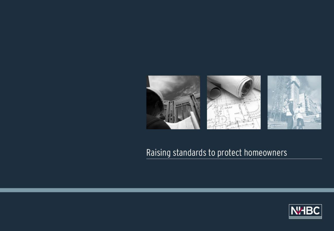

#### Raising standards to protect homeowners

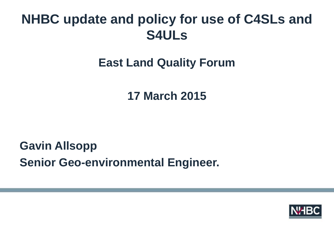### **East Land Quality Forum**

**17 March 2015** 

**Gavin Allsopp Senior Geo-environmental Engineer.** 

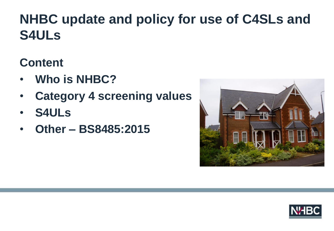#### **Content**

- **Who is NHBC?**
- **Category 4 screening values**
- **S4ULs**
- **Other – BS8485:2015**



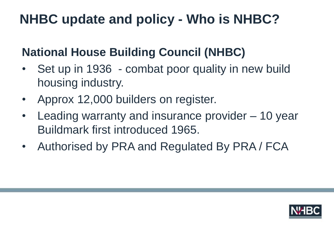### **NHBC update and policy - Who is NHBC?**

### **National House Building Council (NHBC)**

- Set up in 1936 combat poor quality in new build housing industry.
- Approx 12,000 builders on register.
- Leading warranty and insurance provider 10 year Buildmark first introduced 1965.
- Authorised by PRA and Regulated By PRA / FCA

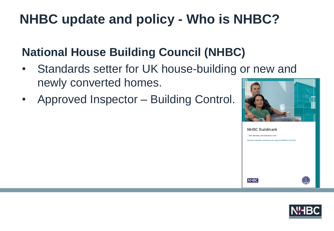# **NHBC update and policy - Who is NHBC?**

### **National House Building Council (NHBC)**

- Standards setter for UK house-building or new and newly converted homes.
- Approved Inspector Building Control.



**NHBC Buildmark** Your warranty and insurance cover Applicable to newly built or converted properties registered with NHBC from 1 April 2007

**NHBC** 

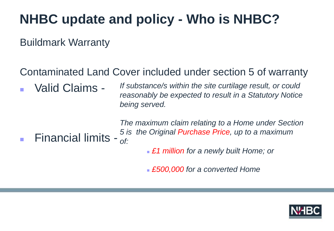### **NHBC update and policy - Who is NHBC?**

Buildmark Warranty

#### Contaminated Land Cover included under section 5 of warranty

 Valid Claims - *If substance/s within the site curtilage result, or could reasonably be expected to result in a Statutory Notice being served.*

■ Financial limits -  $\frac{37}{}$ *The maximum claim relating to a Home under Section 5 is the Original Purchase Price, up to a maximum* 

*£1 million for a newly built Home; or*

*£500,000 for a converted Home*

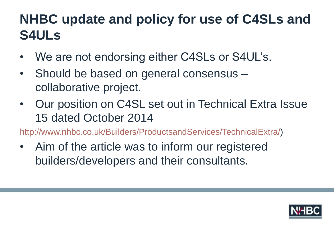- We are not endorsing either C4SLs or S4UL's.
- Should be based on general consensus collaborative project.
- Our position on C4SL set out in Technical Extra Issue 15 dated October 2014

[http://www.nhbc.co.uk/Builders/ProductsandServices/TechnicalExtra/\)](http://www.nhbc.co.uk/Builders/ProductsandServices/TechnicalExtra/)

• Aim of the article was to inform our registered builders/developers and their consultants.

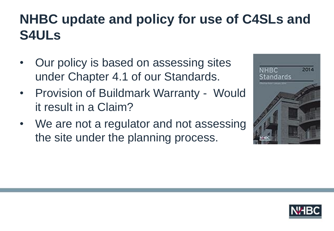- Our policy is based on assessing sites under Chapter 4.1 of our Standards.
- Provision of Buildmark Warranty Would it result in a Claim?
- We are not a regulator and not assessing the site under the planning process.



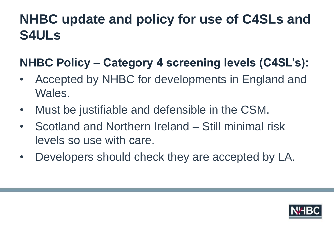### **NHBC Policy – Category 4 screening levels (C4SL's):**

- Accepted by NHBC for developments in England and Wales.
- Must be justifiable and defensible in the CSM.
- Scotland and Northern Ireland Still minimal risk levels so use with care.
- Developers should check they are accepted by LA.

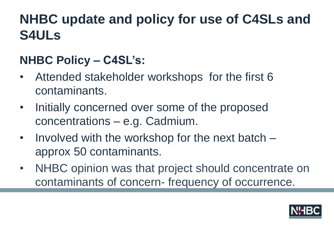### **NHBC Policy – C4SL's:**

- Attended stakeholder workshops for the first 6 contaminants.
- Initially concerned over some of the proposed concentrations – e.g. Cadmium.
- Involved with the workshop for the next batch approx 50 contaminants.
- NHBC opinion was that project should concentrate on contaminants of concern- frequency of occurrence.

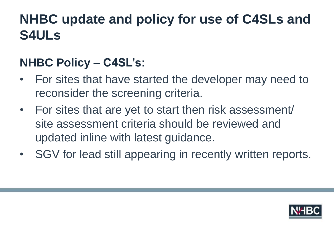### **NHBC Policy – C4SL's:**

- For sites that have started the developer may need to reconsider the screening criteria.
- For sites that are yet to start then risk assessment/ site assessment criteria should be reviewed and updated inline with latest guidance.
- SGV for lead still appearing in recently written reports.

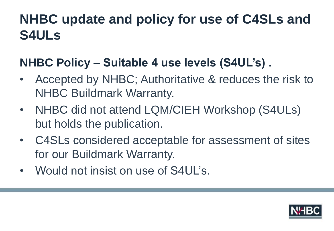#### **NHBC Policy – Suitable 4 use levels (S4UL's) .**

- Accepted by NHBC; Authoritative & reduces the risk to NHBC Buildmark Warranty.
- NHBC did not attend LQM/CIEH Workshop (S4ULs) but holds the publication.
- C4SLs considered acceptable for assessment of sites for our Buildmark Warranty.
- Would not insist on use of S4UL's.

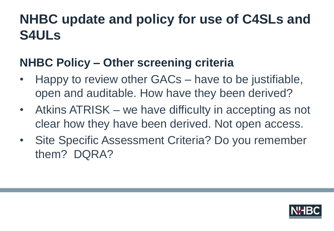#### **NHBC Policy – Other screening criteria**

- Happy to review other GACs have to be justifiable, open and auditable. How have they been derived?
- Atkins ATRISK we have difficulty in accepting as not clear how they have been derived. Not open access.
- Site Specific Assessment Criteria? Do you remember them? DQRA?

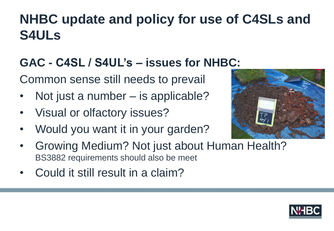### **GAC - C4SL / S4UL's – issues for NHBC:**

Common sense still needs to prevail

- Not just a number is applicable?
- Visual or olfactory issues?
- Would you want it in your garden?



- Growing Medium? Not just about Human Health? BS3882 requirements should also be meet
- Could it still result in a claim?

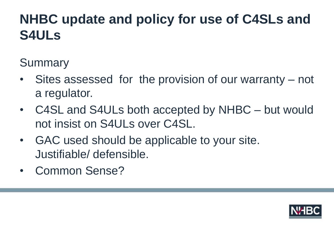**Summary** 

- Sites assessed for the provision of our warranty not a regulator.
- C4SL and S4ULs both accepted by NHBC but would not insist on S4ULs over C4SL.
- GAC used should be applicable to your site. Justifiable/ defensible.
- Common Sense?

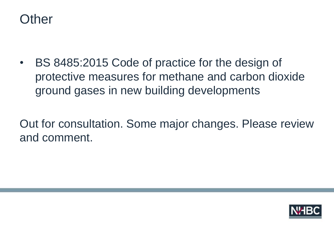

• BS 8485:2015 Code of practice for the design of protective measures for methane and carbon dioxide ground gases in new building developments

Out for consultation. Some major changes. Please review and comment.